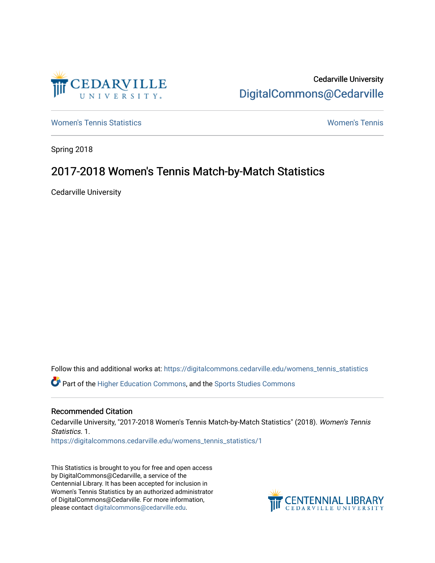

Cedarville University [DigitalCommons@Cedarville](https://digitalcommons.cedarville.edu/) 

[Women's Tennis Statistics](https://digitalcommons.cedarville.edu/womens_tennis_statistics) [Women's Tennis](https://digitalcommons.cedarville.edu/womens_tennis) 

Spring 2018

## 2017-2018 Women's Tennis Match-by-Match Statistics

Cedarville University

Follow this and additional works at: [https://digitalcommons.cedarville.edu/womens\\_tennis\\_statistics](https://digitalcommons.cedarville.edu/womens_tennis_statistics?utm_source=digitalcommons.cedarville.edu%2Fwomens_tennis_statistics%2F1&utm_medium=PDF&utm_campaign=PDFCoverPages)  Part of the [Higher Education Commons,](http://network.bepress.com/hgg/discipline/1245?utm_source=digitalcommons.cedarville.edu%2Fwomens_tennis_statistics%2F1&utm_medium=PDF&utm_campaign=PDFCoverPages) and the [Sports Studies Commons](http://network.bepress.com/hgg/discipline/1198?utm_source=digitalcommons.cedarville.edu%2Fwomens_tennis_statistics%2F1&utm_medium=PDF&utm_campaign=PDFCoverPages) 

## Recommended Citation

Cedarville University, "2017-2018 Women's Tennis Match-by-Match Statistics" (2018). Women's Tennis Statistics. 1. [https://digitalcommons.cedarville.edu/womens\\_tennis\\_statistics/1](https://digitalcommons.cedarville.edu/womens_tennis_statistics/1?utm_source=digitalcommons.cedarville.edu%2Fwomens_tennis_statistics%2F1&utm_medium=PDF&utm_campaign=PDFCoverPages)

This Statistics is brought to you for free and open access by DigitalCommons@Cedarville, a service of the Centennial Library. It has been accepted for inclusion in Women's Tennis Statistics by an authorized administrator of DigitalCommons@Cedarville. For more information, please contact [digitalcommons@cedarville.edu](mailto:digitalcommons@cedarville.edu).